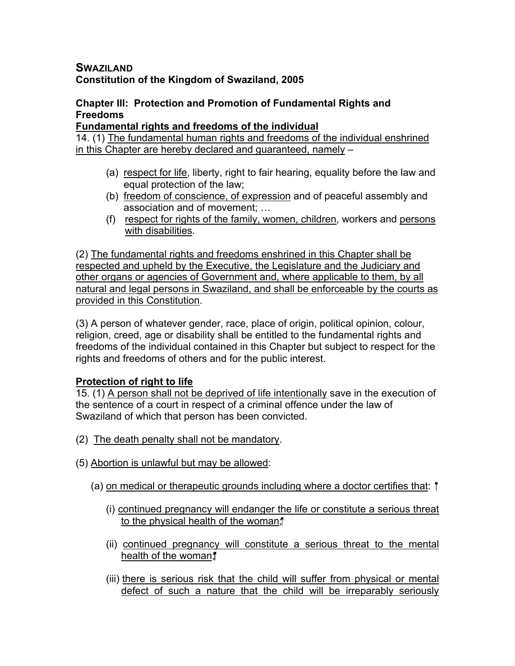## **SWAZILAND Constitution of the Kingdom of Swaziland, 2005**

## **Chapter III: Protection and Promotion of Fundamental Rights and Freedoms**

#### **Fundamental rights and freedoms of the individual**

14. (1) The fundamental human rights and freedoms of the individual enshrined in this Chapter are hereby declared and guaranteed, namely –

- (a) respect for life, liberty, right to fair hearing, equality before the law and equal protection of the law;
- (b) freedom of conscience, of expression and of peaceful assembly and association and of movement; …
- (f) respect for rights of the family, women, children, workers and persons with disabilities.

(2) The fundamental rights and freedoms enshrined in this Chapter shall be respected and upheld by the Executive, the Legislature and the Judiciary and other organs or agencies of Government and, where applicable to them, by all natural and legal persons in Swaziland, and shall be enforceable by the courts as provided in this Constitution.

(3) A person of whatever gender, race, place of origin, political opinion, colour, religion, creed, age or disability shall be entitled to the fundamental rights and freedoms of the individual contained in this Chapter but subject to respect for the rights and freedoms of others and for the public interest.

## **Protection of right to life**

15. (1) A person shall not be deprived of life intentionally save in the execution of the sentence of a court in respect of a criminal offence under the law of Swaziland of which that person has been convicted.

- (2) The death penalty shall not be mandatory.
- (5) Abortion is unlawful but may be allowed:
	- (a) on medical or therapeutic grounds including where a doctor certifies that:
		- (i) continued pregnancy will endanger the life or constitute a serious threat to the physical health of the woman;
		- (ii) continued pregnancy will constitute a serious threat to the mental health of the woman;
		- (iii) there is serious risk that the child will suffer from physical or mental defect of such a nature that the child will be irreparably seriously